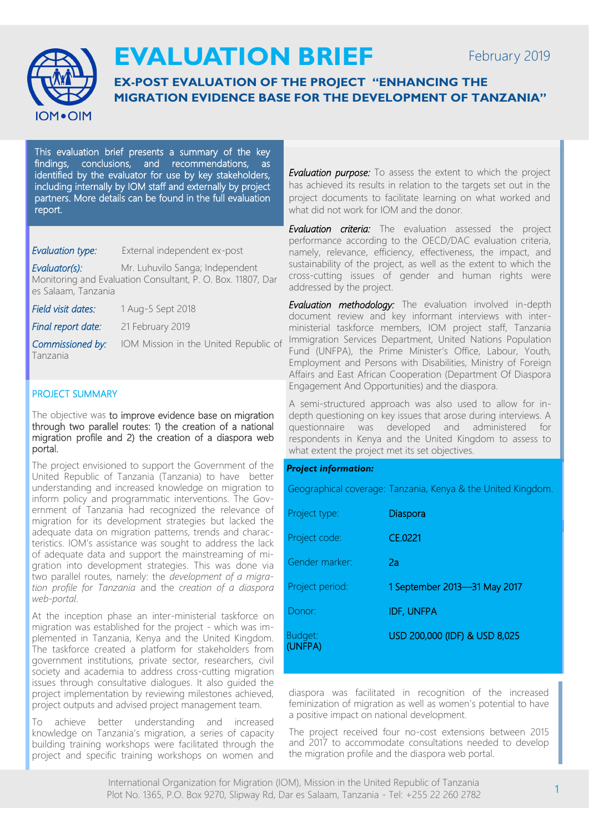

# **EVALUATION BRIEF**

## **EX-POST EVALUATION OF THE PROJECT "ENHANCING THE MIGRATION EVIDENCE BASE FOR THE DEVELOPMENT OF TANZANIA"**

This evaluation brief presents a summary of the key findings, conclusions, and recommendations, as identified by the evaluator for use by key stakeholders, including internally by IOM staff and externally by project partners. More details can be found in the full evaluation report.

*Evaluation type:* External independent ex-post

*Evaluator(s):* Mr. Luhuvilo Sanga; Independent Monitoring and Evaluation Consultant, P. O. Box. 11807, Dar es Salaam, Tanzania

*Field visit dates:* 1 Aug-5 Sept 2018

*Final report date:* 21 February 2019

Tanzania

*Commissioned by:* IOM Mission in the United Republic of

### PROJECT SUMMARY

The objective was to improve evidence base on migration through two parallel routes: 1) the creation of a national migration profile and 2) the creation of a diaspora web portal.

The project envisioned to support the Government of the United Republic of Tanzania (Tanzania) to have better understanding and increased knowledge on migration to inform policy and programmatic interventions. The Government of Tanzania had recognized the relevance of migration for its development strategies but lacked the adequate data on migration patterns, trends and characteristics. IOM's assistance was sought to address the lack of adequate data and support the mainstreaming of migration into development strategies. This was done via two parallel routes, namely: the *development of a migration profile for Tanzania* and the *creation of a diaspora web-portal*.

At the inception phase an inter-ministerial taskforce on migration was established for the project - which was implemented in Tanzania, Kenya and the United Kingdom. The taskforce created a platform for stakeholders from government institutions, private sector, researchers, civil society and academia to address cross-cutting migration issues through consultative dialogues. It also guided the project implementation by reviewing milestones achieved, project outputs and advised project management team.

To achieve better understanding and increased knowledge on Tanzania's migration, a series of capacity building training workshops were facilitated through the project and specific training workshops on women and

*Evaluation purpose:* To assess the extent to which the project has achieved its results in relation to the targets set out in the project documents to facilitate learning on what worked and what did not work for IOM and the donor.

*Evaluation criteria:* The evaluation assessed the project performance according to the OECD/DAC evaluation criteria, namely, relevance, efficiency, effectiveness, the impact, and sustainability of the project, as well as the extent to which the cross-cutting issues of gender and human rights were addressed by the project.

*Evaluation methodology:* The evaluation involved in-depth document review and key informant interviews with interministerial taskforce members, IOM project staff, Tanzania Immigration Services Department, United Nations Population Fund (UNFPA), the Prime Minister's Office, Labour, Youth, Employment and Persons with Disabilities, Ministry of Foreign Affairs and East African Cooperation (Department Of Diaspora Engagement And Opportunities) and the diaspora.

A semi-structured approach was also used to allow for indepth questioning on key issues that arose during interviews. A questionnaire was developed and administered for respondents in Kenya and the United Kingdom to assess to what extent the project met its set objectives.

#### *Project information:*

Geographical coverage: Tanzania, Kenya & the United Kingdom.

| Project type:      | Diaspora                      |
|--------------------|-------------------------------|
| Project code:      | CE.0221                       |
| Gender marker:     | 2a                            |
| Project period:    | 1 September 2013-31 May 2017  |
| Donor:             | <b>IDF, UNFPA</b>             |
| Budget:<br>(UNFPA) | USD 200,000 (IDF) & USD 8,025 |

diaspora was facilitated in recognition of the increased feminization of migration as well as women's potential to have a positive impact on national development.

The project received four no-cost extensions between 2015 and 2017 to accommodate consultations needed to develop the migration profile and the diaspora web portal.